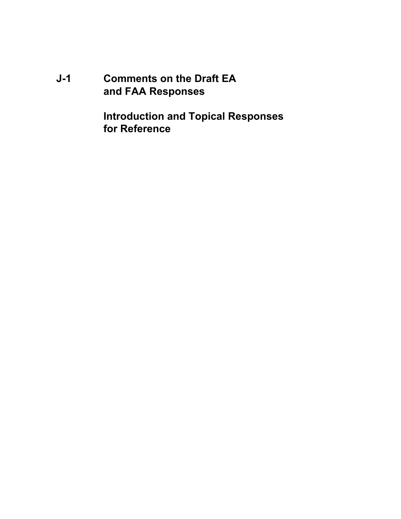**J-1 Comments on the Draft EA and FAA Responses**

> **Introduction and Topical Responses for Reference**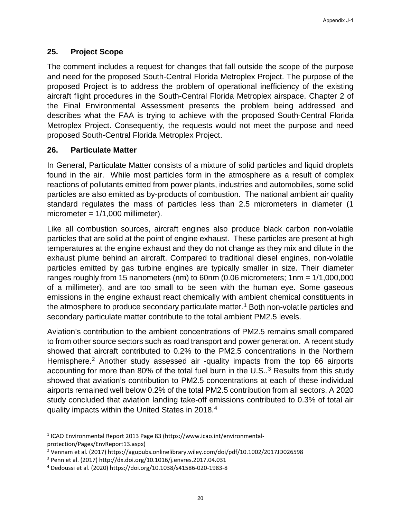## **25. Project Scope**

The comment includes a request for changes that fall outside the scope of the purpose and need for the proposed South-Central Florida Metroplex Project. The purpose of the proposed Project is to address the problem of operational inefficiency of the existing aircraft flight procedures in the South-Central Florida Metroplex airspace. Chapter 2 of the Final Environmental Assessment presents the problem being addressed and describes what the FAA is trying to achieve with the proposed South-Central Florida Metroplex Project. Consequently, the requests would not meet the purpose and need proposed South-Central Florida Metroplex Project.

## **26. Particulate Matter**

In General, Particulate Matter consists of a mixture of solid particles and liquid droplets found in the air. While most particles form in the atmosphere as a result of complex reactions of pollutants emitted from power plants, industries and automobiles, some solid particles are also emitted as by-products of combustion. The national ambient air quality standard regulates the mass of particles less than 2.5 micrometers in diameter (1 micrometer = 1/1,000 millimeter).

Like all combustion sources, aircraft engines also produce black carbon non-volatile particles that are solid at the point of engine exhaust. These particles are present at high temperatures at the engine exhaust and they do not change as they mix and dilute in the exhaust plume behind an aircraft. Compared to traditional diesel engines, non-volatile particles emitted by gas turbine engines are typically smaller in size. Their diameter ranges roughly from 15 nanometers (nm) to 60nm (0.06 micrometers; 1nm = 1/1,000,000 of a millimeter), and are too small to be seen with the human eye. Some gaseous emissions in the engine exhaust react chemically with ambient chemical constituents in the atmosphere to produce secondary particulate matter.<sup>1</sup> Both non-volatile particles and secondary particulate matter contribute to the total ambient PM2.5 levels.

Aviation's contribution to the ambient concentrations of PM2.5 remains small compared to from other source sectors such as road transport and power generation. A recent study showed that aircraft contributed to 0.2% to the PM2.5 concentrations in the Northern Hemisphere.<sup>[2](#page-20-1)</sup> Another study assessed air -quality impacts from the top 66 airports accounting for more than 80% of the total fuel burn in the  $U.S.^3$  $U.S.^3$  Results from this study showed that aviation's contribution to PM2.5 concentrations at each of these individual airports remained well below 0.2% of the total PM2.5 contribution from all sectors. A 2020 study concluded that aviation landing take-off emissions contributed to 0.3% of total air quality impacts within the United States in 2018.[4](#page-20-3) 

<span id="page-20-0"></span><sup>1</sup> ICAO Environmental Report 2013 Page 83 (https://www.icao.int/environmental-

<span id="page-20-1"></span>protection/Pages/EnvReport13.aspx)<br><sup>2</sup> Vennam et al. (2017) https://agupubs.onlinelibrary.wiley.com/doi/pdf/10.1002/2017JD026598

<span id="page-20-2"></span><sup>3</sup> Penn et al. (2017) http://dx.doi.org/10.1016/j.envres.2017.04.031

<span id="page-20-3"></span><sup>4</sup> Dedoussi et al. (2020) https://doi.org/10.1038/s41586-020-1983-8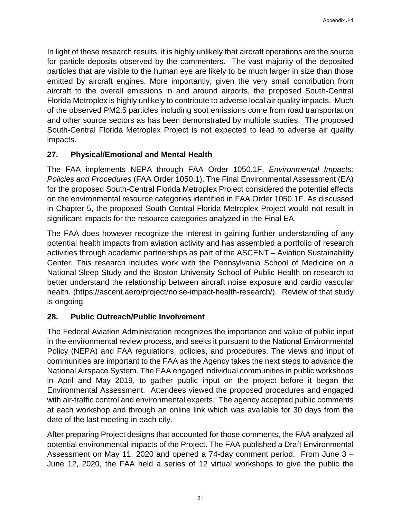## $25.$ **Project Scope**

The comment includes a request for changes that fall outside the scope of the purpose and need for the proposed Sout Gentral Florida Metroplex Project. The purpose of the proposed Project is to address the problem of operational inefficiency of the existing aircraft flight procedures in the Souttentral Florida Metroplex airspace. Chapter 2 of the Final Environmental Assessment presents the problem being addressed and describes what the FAA is trying to achieve with the proposed Soletheral Florida Metroplex Project. Consequently, the requests would not meet the purpose and need proposed SouthGentral Florida Metroplex Project.

## 26. **Particulate Matter**

In General, Particulate Matter consists of a mixture of solid particles and liconidects found in the air. While most particles form in the atmosphere as a result of complex reactions of pollutants emitted from power plants, industries and automobiles, some solid particles are also emitted as boyroducts of combustion. The national biunt air quality standard regulates the mass of particles less than 2.5 micrometers in diameter (1 micrometer =  $1/1,000$  millimeter).

Like all combustion sources, aircraft engines also produce black carbonvolatile particles that are solid at the potiof engine exhaust. These particles are present at high temperatures at the engine exhaust and they do not change as they mix and dilute in the exhaust plume behind an aircraft. Compared to traditional diesel engines, volarille particles emitted by gas turbine engines are typically smaller in size. Their diameter ranges roughly from 15 nanometers (nm) to 60nm (0.06 micrometers; 1nm = 1/1,000,000 of a millimeter), and are too small to be seen with the human eye. Some gaseous emissions in the engine exhaust react chemically with ambient chemical constituents in the atmosphere to produce secondary particulate mattBoth nonvolatile particles and secondary particulate matter contribute to the total ambient PM2.5 levels.

Aviation's contribution to the ambient concentrations of PM2.5 remains small compared to from other source sectors such as road transport and power generation. A recent study showed that aircraft contributed to 0.2% to the PM2.5 concentrations in the Northern Hemisphere? Another studyassessed air-quality impacts from the top 66 airports accounting for more than 80% of the total fuel burn in the  $\theta$ . Sesults from this study showed that aviation's contribution to PM2.5 concentrations at each of these individual airports remained webelow 0.2% of the total PM2.5 contribution from all sectors. A 2020 study concluded that aviation landing table-emissions contributed to 0.3% of total air quality impacts within the United States in 2018.

- <sup>3</sup> Penn et al. (2017) http://dx.doi.org/10.1016/j.envres.2017.04.031
- 4 Dedoussi et al. (2020) https://doi.org/10.1038/s415826-1983-8

<sup>&</sup>lt;sup>1</sup> ICAO Environmental Report 2013 Pagel 80\$://www.icao.int/environmental protection/Pages/EnvReport13.aspx

<sup>&</sup>lt;sup>2</sup> Vennam et al. (2017) https://aqupubs.onlinelibrary.wiley.com/doi/pdf/10.1002/2017JD026598